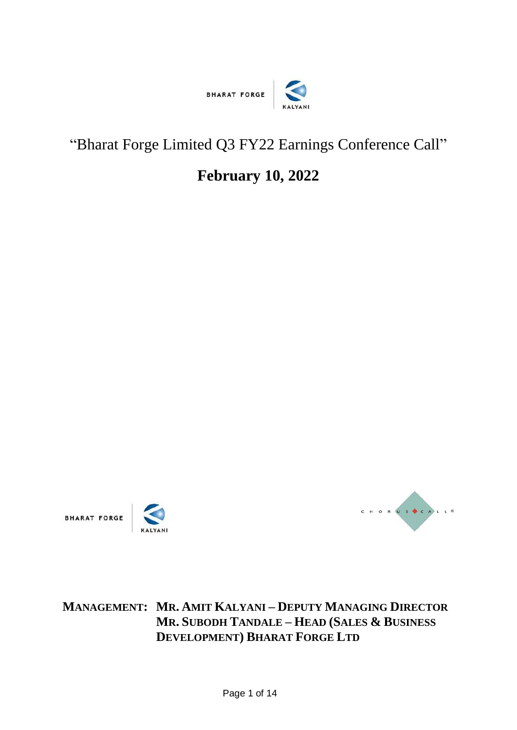

## "Bharat Forge Limited Q3 FY22 Earnings Conference Call"

## **February 10, 2022**





**MANAGEMENT: MR. AMIT KALYANI – DEPUTY MANAGING DIRECTOR MR. SUBODH TANDALE – HEAD (SALES & BUSINESS DEVELOPMENT) BHARAT FORGE LTD**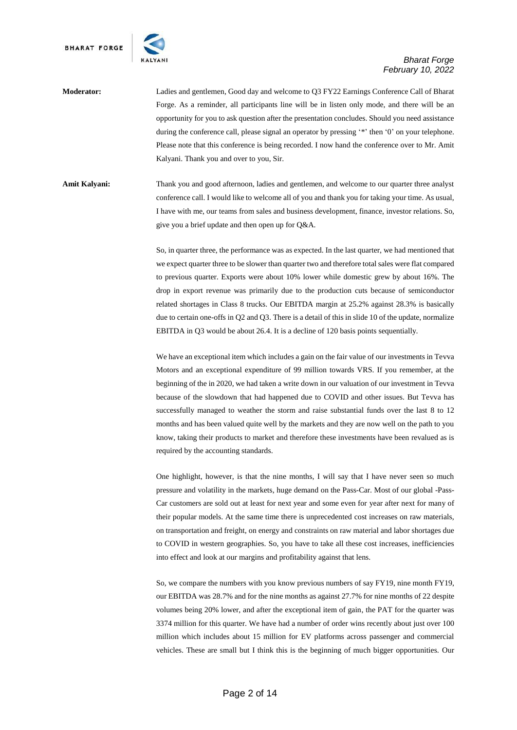

**Moderator:** Ladies and gentlemen, Good day and welcome to Q3 FY22 Earnings Conference Call of Bharat Forge. As a reminder, all participants line will be in listen only mode, and there will be an opportunity for you to ask question after the presentation concludes. Should you need assistance during the conference call, please signal an operator by pressing '\*' then '0' on your telephone. Please note that this conference is being recorded. I now hand the conference over to Mr. Amit Kalyani. Thank you and over to you, Sir.

**Amit Kalyani:** Thank you and good afternoon, ladies and gentlemen, and welcome to our quarter three analyst conference call. I would like to welcome all of you and thank you for taking your time. As usual, I have with me, our teams from sales and business development, finance, investor relations. So, give you a brief update and then open up for Q&A.

> So, in quarter three, the performance was as expected. In the last quarter, we had mentioned that we expect quarter three to be slower than quarter two and therefore total sales were flat compared to previous quarter. Exports were about 10% lower while domestic grew by about 16%. The drop in export revenue was primarily due to the production cuts because of semiconductor related shortages in Class 8 trucks. Our EBITDA margin at 25.2% against 28.3% is basically due to certain one-offs in Q2 and Q3. There is a detail of this in slide 10 of the update, normalize EBITDA in Q3 would be about 26.4. It is a decline of 120 basis points sequentially.

> We have an exceptional item which includes a gain on the fair value of our investments in Tevva Motors and an exceptional expenditure of 99 million towards VRS. If you remember, at the beginning of the in 2020, we had taken a write down in our valuation of our investment in Tevva because of the slowdown that had happened due to COVID and other issues. But Tevva has successfully managed to weather the storm and raise substantial funds over the last 8 to 12 months and has been valued quite well by the markets and they are now well on the path to you know, taking their products to market and therefore these investments have been revalued as is required by the accounting standards.

> One highlight, however, is that the nine months, I will say that I have never seen so much pressure and volatility in the markets, huge demand on the Pass-Car. Most of our global -Pass-Car customers are sold out at least for next year and some even for year after next for many of their popular models. At the same time there is unprecedented cost increases on raw materials, on transportation and freight, on energy and constraints on raw material and labor shortages due to COVID in western geographies. So, you have to take all these cost increases, inefficiencies into effect and look at our margins and profitability against that lens.

> So, we compare the numbers with you know previous numbers of say FY19, nine month FY19, our EBITDA was 28.7% and for the nine months as against 27.7% for nine months of 22 despite volumes being 20% lower, and after the exceptional item of gain, the PAT for the quarter was 3374 million for this quarter. We have had a number of order wins recently about just over 100 million which includes about 15 million for EV platforms across passenger and commercial vehicles. These are small but I think this is the beginning of much bigger opportunities. Our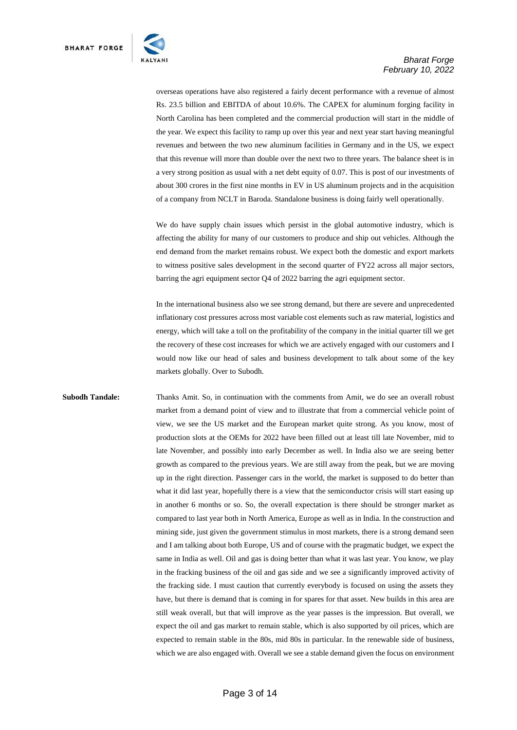

overseas operations have also registered a fairly decent performance with a revenue of almost Rs. 23.5 billion and EBITDA of about 10.6%. The CAPEX for aluminum forging facility in North Carolina has been completed and the commercial production will start in the middle of the year. We expect this facility to ramp up over this year and next year start having meaningful revenues and between the two new aluminum facilities in Germany and in the US, we expect that this revenue will more than double over the next two to three years. The balance sheet is in a very strong position as usual with a net debt equity of 0.07. This is post of our investments of about 300 crores in the first nine months in EV in US aluminum projects and in the acquisition of a company from NCLT in Baroda. Standalone business is doing fairly well operationally.

We do have supply chain issues which persist in the global automotive industry, which is affecting the ability for many of our customers to produce and ship out vehicles. Although the end demand from the market remains robust. We expect both the domestic and export markets to witness positive sales development in the second quarter of FY22 across all major sectors, barring the agri equipment sector Q4 of 2022 barring the agri equipment sector.

In the international business also we see strong demand, but there are severe and unprecedented inflationary cost pressures across most variable cost elements such as raw material, logistics and energy, which will take a toll on the profitability of the company in the initial quarter till we get the recovery of these cost increases for which we are actively engaged with our customers and I would now like our head of sales and business development to talk about some of the key markets globally. Over to Subodh.

**Subodh Tandale:** Thanks Amit. So, in continuation with the comments from Amit, we do see an overall robust market from a demand point of view and to illustrate that from a commercial vehicle point of view, we see the US market and the European market quite strong. As you know, most of production slots at the OEMs for 2022 have been filled out at least till late November, mid to late November, and possibly into early December as well. In India also we are seeing better growth as compared to the previous years. We are still away from the peak, but we are moving up in the right direction. Passenger cars in the world, the market is supposed to do better than what it did last year, hopefully there is a view that the semiconductor crisis will start easing up in another 6 months or so. So, the overall expectation is there should be stronger market as compared to last year both in North America, Europe as well as in India. In the construction and mining side, just given the government stimulus in most markets, there is a strong demand seen and I am talking about both Europe, US and of course with the pragmatic budget, we expect the same in India as well. Oil and gas is doing better than what it was last year. You know, we play in the fracking business of the oil and gas side and we see a significantly improved activity of the fracking side. I must caution that currently everybody is focused on using the assets they have, but there is demand that is coming in for spares for that asset. New builds in this area are still weak overall, but that will improve as the year passes is the impression. But overall, we expect the oil and gas market to remain stable, which is also supported by oil prices, which are expected to remain stable in the 80s, mid 80s in particular. In the renewable side of business, which we are also engaged with. Overall we see a stable demand given the focus on environment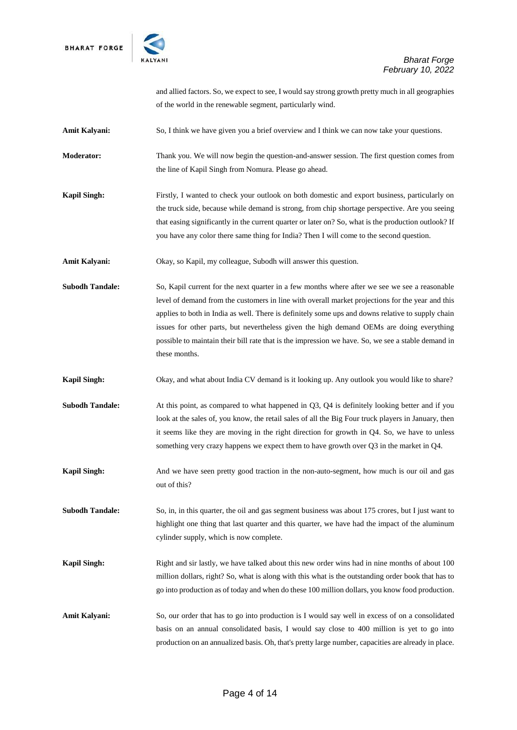

and allied factors. So, we expect to see, I would say strong growth pretty much in all geographies of the world in the renewable segment, particularly wind.

Amit Kalyani: So, I think we have given you a brief overview and I think we can now take your questions.

**Moderator:** Thank you. We will now begin the question-and-answer session. The first question comes from the line of Kapil Singh from Nomura. Please go ahead.

**Kapil Singh:** Firstly, I wanted to check your outlook on both domestic and export business, particularly on the truck side, because while demand is strong, from chip shortage perspective. Are you seeing that easing significantly in the current quarter or later on? So, what is the production outlook? If you have any color there same thing for India? Then I will come to the second question.

Amit Kalyani: Okay, so Kapil, my colleague, Subodh will answer this question.

**Subodh Tandale:** So, Kapil current for the next quarter in a few months where after we see we see a reasonable level of demand from the customers in line with overall market projections for the year and this applies to both in India as well. There is definitely some ups and downs relative to supply chain issues for other parts, but nevertheless given the high demand OEMs are doing everything possible to maintain their bill rate that is the impression we have. So, we see a stable demand in these months.

**Kapil Singh:** Okay, and what about India CV demand is it looking up. Any outlook you would like to share?

**Subodh Tandale:** At this point, as compared to what happened in Q3, Q4 is definitely looking better and if you look at the sales of, you know, the retail sales of all the Big Four truck players in January, then it seems like they are moving in the right direction for growth in Q4. So, we have to unless something very crazy happens we expect them to have growth over Q3 in the market in Q4.

**Kapil Singh:** And we have seen pretty good traction in the non-auto-segment, how much is our oil and gas out of this?

**Subodh Tandale:** So, in, in this quarter, the oil and gas segment business was about 175 crores, but I just want to highlight one thing that last quarter and this quarter, we have had the impact of the aluminum cylinder supply, which is now complete.

- **Kapil Singh:** Right and sir lastly, we have talked about this new order wins had in nine months of about 100 million dollars, right? So, what is along with this what is the outstanding order book that has to go into production as of today and when do these 100 million dollars, you know food production.
- Amit Kalyani: So, our order that has to go into production is I would say well in excess of on a consolidated basis on an annual consolidated basis, I would say close to 400 million is yet to go into production on an annualized basis. Oh, that's pretty large number, capacities are already in place.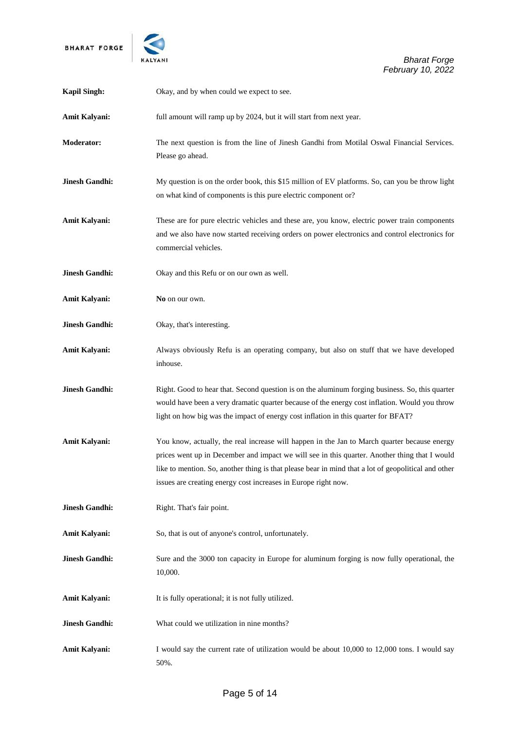

| <b>Kapil Singh:</b>   | Okay, and by when could we expect to see.                                                                                                                                                                                                                                                                                                                              |
|-----------------------|------------------------------------------------------------------------------------------------------------------------------------------------------------------------------------------------------------------------------------------------------------------------------------------------------------------------------------------------------------------------|
| <b>Amit Kalyani:</b>  | full amount will ramp up by 2024, but it will start from next year.                                                                                                                                                                                                                                                                                                    |
| <b>Moderator:</b>     | The next question is from the line of Jinesh Gandhi from Motilal Oswal Financial Services.<br>Please go ahead.                                                                                                                                                                                                                                                         |
| <b>Jinesh Gandhi:</b> | My question is on the order book, this \$15 million of EV platforms. So, can you be throw light<br>on what kind of components is this pure electric component or?                                                                                                                                                                                                      |
| <b>Amit Kalyani:</b>  | These are for pure electric vehicles and these are, you know, electric power train components<br>and we also have now started receiving orders on power electronics and control electronics for<br>commercial vehicles.                                                                                                                                                |
| <b>Jinesh Gandhi:</b> | Okay and this Refu or on our own as well.                                                                                                                                                                                                                                                                                                                              |
| <b>Amit Kalyani:</b>  | No on our own.                                                                                                                                                                                                                                                                                                                                                         |
| <b>Jinesh Gandhi:</b> | Okay, that's interesting.                                                                                                                                                                                                                                                                                                                                              |
| <b>Amit Kalyani:</b>  | Always obviously Refu is an operating company, but also on stuff that we have developed<br>inhouse.                                                                                                                                                                                                                                                                    |
| <b>Jinesh Gandhi:</b> | Right. Good to hear that. Second question is on the aluminum forging business. So, this quarter<br>would have been a very dramatic quarter because of the energy cost inflation. Would you throw<br>light on how big was the impact of energy cost inflation in this quarter for BFAT?                                                                                 |
| Amit Kalyani:         | You know, actually, the real increase will happen in the Jan to March quarter because energy<br>prices went up in December and impact we will see in this quarter. Another thing that I would<br>like to mention. So, another thing is that please bear in mind that a lot of geopolitical and other<br>issues are creating energy cost increases in Europe right now. |
| <b>Jinesh Gandhi:</b> | Right. That's fair point.                                                                                                                                                                                                                                                                                                                                              |
| <b>Amit Kalyani:</b>  | So, that is out of anyone's control, unfortunately.                                                                                                                                                                                                                                                                                                                    |
| <b>Jinesh Gandhi:</b> | Sure and the 3000 ton capacity in Europe for aluminum forging is now fully operational, the<br>10,000.                                                                                                                                                                                                                                                                 |
| Amit Kalyani:         | It is fully operational; it is not fully utilized.                                                                                                                                                                                                                                                                                                                     |
| <b>Jinesh Gandhi:</b> | What could we utilization in nine months?                                                                                                                                                                                                                                                                                                                              |
| Amit Kalyani:         | I would say the current rate of utilization would be about 10,000 to 12,000 tons. I would say<br>50%.                                                                                                                                                                                                                                                                  |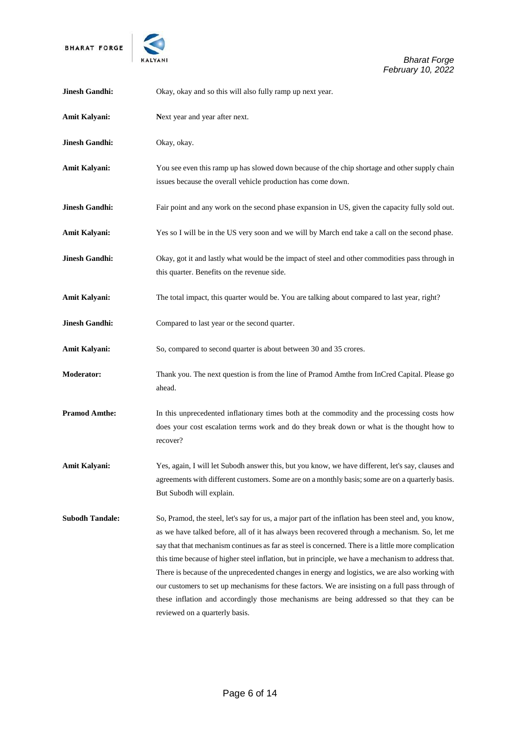

| <b>Jinesh Gandhi:</b>  | Okay, okay and so this will also fully ramp up next year.                                                                                                                                                                                                                                                                                                                                                                                                                                                                                                                                                                                                                                                                                                |
|------------------------|----------------------------------------------------------------------------------------------------------------------------------------------------------------------------------------------------------------------------------------------------------------------------------------------------------------------------------------------------------------------------------------------------------------------------------------------------------------------------------------------------------------------------------------------------------------------------------------------------------------------------------------------------------------------------------------------------------------------------------------------------------|
| <b>Amit Kalyani:</b>   | Next year and year after next.                                                                                                                                                                                                                                                                                                                                                                                                                                                                                                                                                                                                                                                                                                                           |
| <b>Jinesh Gandhi:</b>  | Okay, okay.                                                                                                                                                                                                                                                                                                                                                                                                                                                                                                                                                                                                                                                                                                                                              |
| Amit Kalyani:          | You see even this ramp up has slowed down because of the chip shortage and other supply chain<br>issues because the overall vehicle production has come down.                                                                                                                                                                                                                                                                                                                                                                                                                                                                                                                                                                                            |
| <b>Jinesh Gandhi:</b>  | Fair point and any work on the second phase expansion in US, given the capacity fully sold out.                                                                                                                                                                                                                                                                                                                                                                                                                                                                                                                                                                                                                                                          |
| <b>Amit Kalyani:</b>   | Yes so I will be in the US very soon and we will by March end take a call on the second phase.                                                                                                                                                                                                                                                                                                                                                                                                                                                                                                                                                                                                                                                           |
| <b>Jinesh Gandhi:</b>  | Okay, got it and lastly what would be the impact of steel and other commodities pass through in<br>this quarter. Benefits on the revenue side.                                                                                                                                                                                                                                                                                                                                                                                                                                                                                                                                                                                                           |
| Amit Kalyani:          | The total impact, this quarter would be. You are talking about compared to last year, right?                                                                                                                                                                                                                                                                                                                                                                                                                                                                                                                                                                                                                                                             |
| <b>Jinesh Gandhi:</b>  | Compared to last year or the second quarter.                                                                                                                                                                                                                                                                                                                                                                                                                                                                                                                                                                                                                                                                                                             |
| <b>Amit Kalyani:</b>   | So, compared to second quarter is about between 30 and 35 crores.                                                                                                                                                                                                                                                                                                                                                                                                                                                                                                                                                                                                                                                                                        |
| <b>Moderator:</b>      | Thank you. The next question is from the line of Pramod Amthe from InCred Capital. Please go<br>ahead.                                                                                                                                                                                                                                                                                                                                                                                                                                                                                                                                                                                                                                                   |
| <b>Pramod Amthe:</b>   | In this unprecedented inflationary times both at the commodity and the processing costs how<br>does your cost escalation terms work and do they break down or what is the thought how to<br>recover?                                                                                                                                                                                                                                                                                                                                                                                                                                                                                                                                                     |
| <b>Amit Kalyani:</b>   | Yes, again, I will let Subodh answer this, but you know, we have different, let's say, clauses and<br>agreements with different customers. Some are on a monthly basis; some are on a quarterly basis.<br>But Subodh will explain.                                                                                                                                                                                                                                                                                                                                                                                                                                                                                                                       |
| <b>Subodh Tandale:</b> | So, Pramod, the steel, let's say for us, a major part of the inflation has been steel and, you know,<br>as we have talked before, all of it has always been recovered through a mechanism. So, let me<br>say that that mechanism continues as far as steel is concerned. There is a little more complication<br>this time because of higher steel inflation, but in principle, we have a mechanism to address that.<br>There is because of the unprecedented changes in energy and logistics, we are also working with<br>our customers to set up mechanisms for these factors. We are insisting on a full pass through of<br>these inflation and accordingly those mechanisms are being addressed so that they can be<br>reviewed on a quarterly basis. |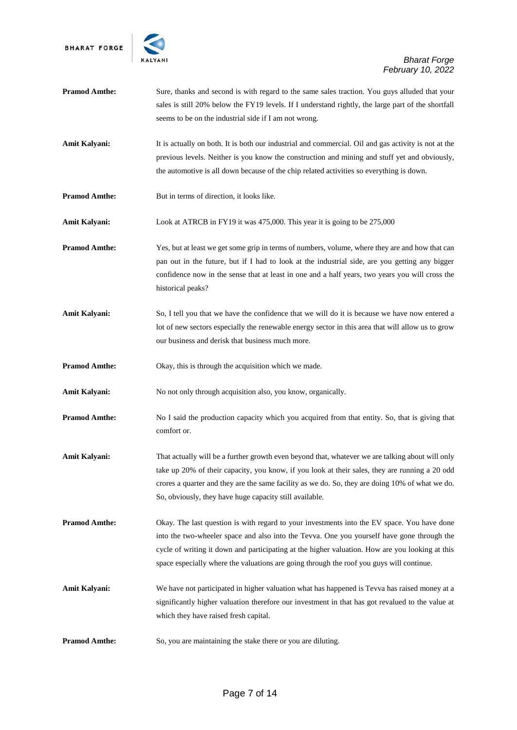

| <b>Pramod Amthe:</b> | Sure, thanks and second is with regard to the same sales traction. You guys alluded that your<br>sales is still 20% below the FY19 levels. If I understand rightly, the large part of the shortfall<br>seems to be on the industrial side if I am not wrong.                                                                                                                             |
|----------------------|------------------------------------------------------------------------------------------------------------------------------------------------------------------------------------------------------------------------------------------------------------------------------------------------------------------------------------------------------------------------------------------|
| Amit Kalyani:        | It is actually on both. It is both our industrial and commercial. Oil and gas activity is not at the<br>previous levels. Neither is you know the construction and mining and stuff yet and obviously,<br>the automotive is all down because of the chip related activities so everything is down.                                                                                        |
| <b>Pramod Amthe:</b> | But in terms of direction, it looks like.                                                                                                                                                                                                                                                                                                                                                |
| Amit Kalyani:        | Look at ATRCB in FY19 it was 475,000. This year it is going to be 275,000                                                                                                                                                                                                                                                                                                                |
| <b>Pramod Amthe:</b> | Yes, but at least we get some grip in terms of numbers, volume, where they are and how that can<br>pan out in the future, but if I had to look at the industrial side, are you getting any bigger<br>confidence now in the sense that at least in one and a half years, two years you will cross the<br>historical peaks?                                                                |
| Amit Kalyani:        | So, I tell you that we have the confidence that we will do it is because we have now entered a<br>lot of new sectors especially the renewable energy sector in this area that will allow us to grow<br>our business and derisk that business much more.                                                                                                                                  |
| <b>Pramod Amthe:</b> | Okay, this is through the acquisition which we made.                                                                                                                                                                                                                                                                                                                                     |
| Amit Kalyani:        | No not only through acquisition also, you know, organically.                                                                                                                                                                                                                                                                                                                             |
| <b>Pramod Amthe:</b> | No I said the production capacity which you acquired from that entity. So, that is giving that<br>comfort or.                                                                                                                                                                                                                                                                            |
| Amit Kalyani:        | That actually will be a further growth even beyond that, whatever we are talking about will only<br>take up 20% of their capacity, you know, if you look at their sales, they are running a 20 odd<br>crores a quarter and they are the same facility as we do. So, they are doing 10% of what we do.<br>So, obviously, they have huge capacity still available.                         |
| <b>Pramod Amthe:</b> | Okay. The last question is with regard to your investments into the EV space. You have done<br>into the two-wheeler space and also into the Tevva. One you yourself have gone through the<br>cycle of writing it down and participating at the higher valuation. How are you looking at this<br>space especially where the valuations are going through the roof you guys will continue. |
| Amit Kalyani:        | We have not participated in higher valuation what has happened is Tevva has raised money at a<br>significantly higher valuation therefore our investment in that has got revalued to the value at<br>which they have raised fresh capital.                                                                                                                                               |
| <b>Pramod Amthe:</b> | So, you are maintaining the stake there or you are diluting.                                                                                                                                                                                                                                                                                                                             |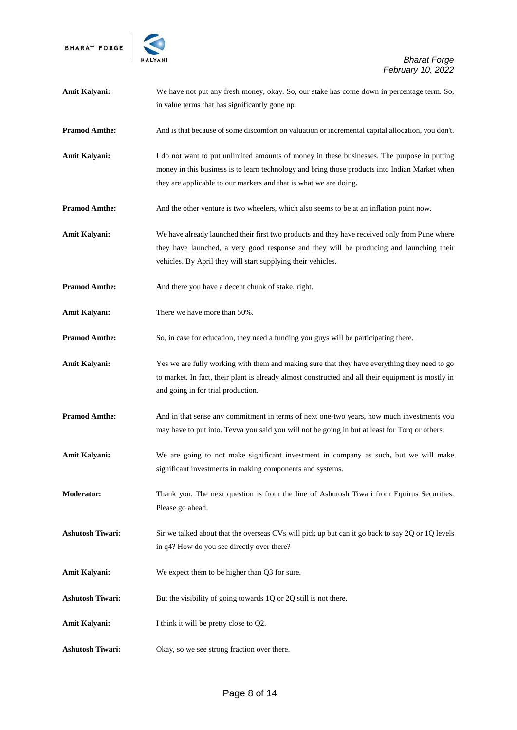

| Amit Kalyani:           | We have not put any fresh money, okay. So, our stake has come down in percentage term. So,<br>in value terms that has significantly gone up.                                                                                                                       |
|-------------------------|--------------------------------------------------------------------------------------------------------------------------------------------------------------------------------------------------------------------------------------------------------------------|
| <b>Pramod Amthe:</b>    | And is that because of some discomfort on valuation or incremental capital allocation, you don't.                                                                                                                                                                  |
| <b>Amit Kalyani:</b>    | I do not want to put unlimited amounts of money in these businesses. The purpose in putting<br>money in this business is to learn technology and bring those products into Indian Market when<br>they are applicable to our markets and that is what we are doing. |
| <b>Pramod Amthe:</b>    | And the other venture is two wheelers, which also seems to be at an inflation point now.                                                                                                                                                                           |
| <b>Amit Kalyani:</b>    | We have already launched their first two products and they have received only from Pune where<br>they have launched, a very good response and they will be producing and launching their<br>vehicles. By April they will start supplying their vehicles.           |
| <b>Pramod Amthe:</b>    | And there you have a decent chunk of stake, right.                                                                                                                                                                                                                 |
| <b>Amit Kalyani:</b>    | There we have more than 50%.                                                                                                                                                                                                                                       |
| <b>Pramod Amthe:</b>    | So, in case for education, they need a funding you guys will be participating there.                                                                                                                                                                               |
| <b>Amit Kalyani:</b>    | Yes we are fully working with them and making sure that they have everything they need to go<br>to market. In fact, their plant is already almost constructed and all their equipment is mostly in<br>and going in for trial production.                           |
| <b>Pramod Amthe:</b>    | And in that sense any commitment in terms of next one-two years, how much investments you<br>may have to put into. Tevva you said you will not be going in but at least for Torq or others.                                                                        |
| Amit Kalyani:           | We are going to not make significant investment in company as such, but we will make<br>significant investments in making components and systems.                                                                                                                  |
| <b>Moderator:</b>       | Thank you. The next question is from the line of Ashutosh Tiwari from Equirus Securities.<br>Please go ahead.                                                                                                                                                      |
| <b>Ashutosh Tiwari:</b> | Sir we talked about that the overseas CVs will pick up but can it go back to say 2Q or 1Q levels<br>in q4? How do you see directly over there?                                                                                                                     |
| <b>Amit Kalyani:</b>    | We expect them to be higher than Q3 for sure.                                                                                                                                                                                                                      |
| <b>Ashutosh Tiwari:</b> | But the visibility of going towards 1Q or 2Q still is not there.                                                                                                                                                                                                   |
| Amit Kalyani:           | I think it will be pretty close to Q2.                                                                                                                                                                                                                             |
| <b>Ashutosh Tiwari:</b> | Okay, so we see strong fraction over there.                                                                                                                                                                                                                        |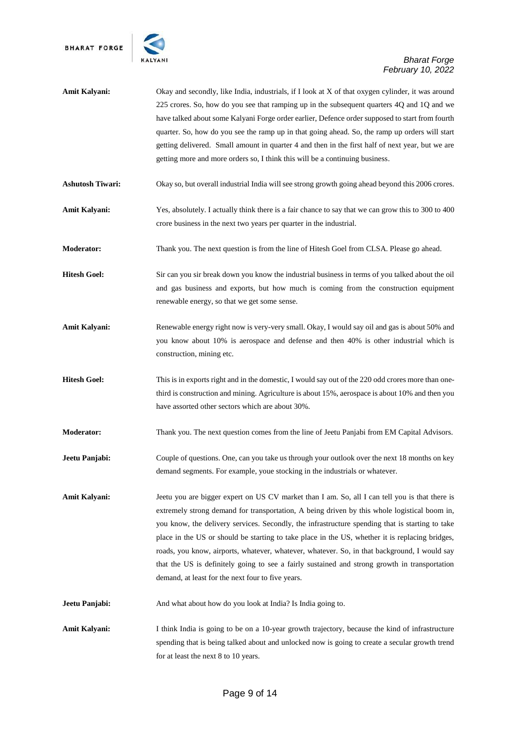

| Amit Kalyani:           | Okay and secondly, like India, industrials, if I look at X of that oxygen cylinder, it was around<br>225 crores. So, how do you see that ramping up in the subsequent quarters 4Q and 1Q and we<br>have talked about some Kalyani Forge order earlier, Defence order supposed to start from fourth<br>quarter. So, how do you see the ramp up in that going ahead. So, the ramp up orders will start<br>getting delivered. Small amount in quarter 4 and then in the first half of next year, but we are<br>getting more and more orders so, I think this will be a continuing business.                                                                   |
|-------------------------|------------------------------------------------------------------------------------------------------------------------------------------------------------------------------------------------------------------------------------------------------------------------------------------------------------------------------------------------------------------------------------------------------------------------------------------------------------------------------------------------------------------------------------------------------------------------------------------------------------------------------------------------------------|
| <b>Ashutosh Tiwari:</b> | Okay so, but overall industrial India will see strong growth going ahead beyond this 2006 crores.                                                                                                                                                                                                                                                                                                                                                                                                                                                                                                                                                          |
| Amit Kalyani:           | Yes, absolutely. I actually think there is a fair chance to say that we can grow this to 300 to 400<br>crore business in the next two years per quarter in the industrial.                                                                                                                                                                                                                                                                                                                                                                                                                                                                                 |
| <b>Moderator:</b>       | Thank you. The next question is from the line of Hitesh Goel from CLSA. Please go ahead.                                                                                                                                                                                                                                                                                                                                                                                                                                                                                                                                                                   |
| <b>Hitesh Goel:</b>     | Sir can you sir break down you know the industrial business in terms of you talked about the oil<br>and gas business and exports, but how much is coming from the construction equipment<br>renewable energy, so that we get some sense.                                                                                                                                                                                                                                                                                                                                                                                                                   |
| Amit Kalyani:           | Renewable energy right now is very-very small. Okay, I would say oil and gas is about 50% and<br>you know about 10% is aerospace and defense and then 40% is other industrial which is<br>construction, mining etc.                                                                                                                                                                                                                                                                                                                                                                                                                                        |
| <b>Hitesh Goel:</b>     | This is in exports right and in the domestic, I would say out of the 220 odd crores more than one-<br>third is construction and mining. Agriculture is about 15%, aerospace is about 10% and then you<br>have assorted other sectors which are about 30%.                                                                                                                                                                                                                                                                                                                                                                                                  |
| <b>Moderator:</b>       | Thank you. The next question comes from the line of Jeetu Panjabi from EM Capital Advisors.                                                                                                                                                                                                                                                                                                                                                                                                                                                                                                                                                                |
| Jeetu Panjabi:          | Couple of questions. One, can you take us through your outlook over the next 18 months on key<br>demand segments. For example, youe stocking in the industrials or whatever.                                                                                                                                                                                                                                                                                                                                                                                                                                                                               |
| <b>Amit Kalyani:</b>    | Jeetu you are bigger expert on US CV market than I am. So, all I can tell you is that there is<br>extremely strong demand for transportation, A being driven by this whole logistical boom in,<br>you know, the delivery services. Secondly, the infrastructure spending that is starting to take<br>place in the US or should be starting to take place in the US, whether it is replacing bridges,<br>roads, you know, airports, whatever, whatever, whatever. So, in that background, I would say<br>that the US is definitely going to see a fairly sustained and strong growth in transportation<br>demand, at least for the next four to five years. |
| Jeetu Panjabi:          | And what about how do you look at India? Is India going to.                                                                                                                                                                                                                                                                                                                                                                                                                                                                                                                                                                                                |
| <b>Amit Kalyani:</b>    | I think India is going to be on a 10-year growth trajectory, because the kind of infrastructure<br>spending that is being talked about and unlocked now is going to create a secular growth trend<br>for at least the next 8 to 10 years.                                                                                                                                                                                                                                                                                                                                                                                                                  |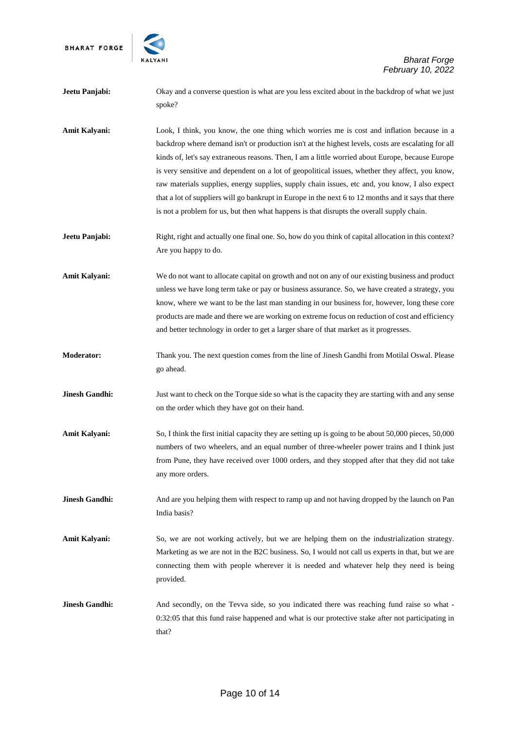

| Jeetu Panjabi:        | Okay and a converse question is what are you less excited about in the backdrop of what we just<br>spoke?                                                                                                                                                                                                                                                                                                                                                                                                                                                                                                                                                                                                       |
|-----------------------|-----------------------------------------------------------------------------------------------------------------------------------------------------------------------------------------------------------------------------------------------------------------------------------------------------------------------------------------------------------------------------------------------------------------------------------------------------------------------------------------------------------------------------------------------------------------------------------------------------------------------------------------------------------------------------------------------------------------|
| Amit Kalyani:         | Look, I think, you know, the one thing which worries me is cost and inflation because in a<br>backdrop where demand isn't or production isn't at the highest levels, costs are escalating for all<br>kinds of, let's say extraneous reasons. Then, I am a little worried about Europe, because Europe<br>is very sensitive and dependent on a lot of geopolitical issues, whether they affect, you know,<br>raw materials supplies, energy supplies, supply chain issues, etc and, you know, I also expect<br>that a lot of suppliers will go bankrupt in Europe in the next 6 to 12 months and it says that there<br>is not a problem for us, but then what happens is that disrupts the overall supply chain. |
| Jeetu Panjabi:        | Right, right and actually one final one. So, how do you think of capital allocation in this context?<br>Are you happy to do.                                                                                                                                                                                                                                                                                                                                                                                                                                                                                                                                                                                    |
| Amit Kalyani:         | We do not want to allocate capital on growth and not on any of our existing business and product<br>unless we have long term take or pay or business assurance. So, we have created a strategy, you<br>know, where we want to be the last man standing in our business for, however, long these core<br>products are made and there we are working on extreme focus on reduction of cost and efficiency<br>and better technology in order to get a larger share of that market as it progresses.                                                                                                                                                                                                                |
| <b>Moderator:</b>     | Thank you. The next question comes from the line of Jinesh Gandhi from Motilal Oswal. Please<br>go ahead.                                                                                                                                                                                                                                                                                                                                                                                                                                                                                                                                                                                                       |
| <b>Jinesh Gandhi:</b> | Just want to check on the Torque side so what is the capacity they are starting with and any sense<br>on the order which they have got on their hand.                                                                                                                                                                                                                                                                                                                                                                                                                                                                                                                                                           |
| Amit Kalyani:         | So, I think the first initial capacity they are setting up is going to be about 50,000 pieces, 50,000<br>numbers of two wheelers, and an equal number of three-wheeler power trains and I think just<br>from Pune, they have received over 1000 orders, and they stopped after that they did not take<br>any more orders.                                                                                                                                                                                                                                                                                                                                                                                       |
| <b>Jinesh Gandhi:</b> | And are you helping them with respect to ramp up and not having dropped by the launch on Pan<br>India basis?                                                                                                                                                                                                                                                                                                                                                                                                                                                                                                                                                                                                    |
| Amit Kalyani:         | So, we are not working actively, but we are helping them on the industrialization strategy.<br>Marketing as we are not in the B2C business. So, I would not call us experts in that, but we are<br>connecting them with people wherever it is needed and whatever help they need is being<br>provided.                                                                                                                                                                                                                                                                                                                                                                                                          |
| <b>Jinesh Gandhi:</b> | And secondly, on the Tevva side, so you indicated there was reaching fund raise so what -<br>0:32:05 that this fund raise happened and what is our protective stake after not participating in<br>that?                                                                                                                                                                                                                                                                                                                                                                                                                                                                                                         |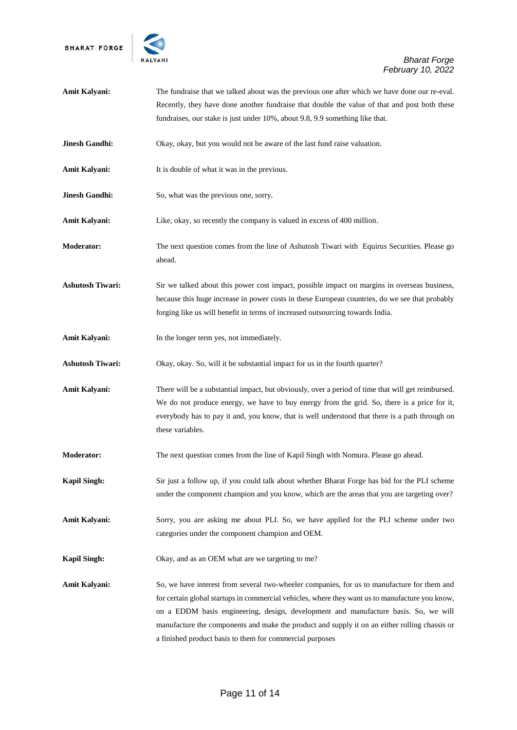

| <b>Amit Kalyani:</b>    | The fundraise that we talked about was the previous one after which we have done our re-eval.                                                                                                                                                                                                                                                                                                                                                      |
|-------------------------|----------------------------------------------------------------------------------------------------------------------------------------------------------------------------------------------------------------------------------------------------------------------------------------------------------------------------------------------------------------------------------------------------------------------------------------------------|
|                         | Recently, they have done another fundraise that double the value of that and post both these                                                                                                                                                                                                                                                                                                                                                       |
|                         | fundraises, our stake is just under 10%, about 9.8, 9.9 something like that.                                                                                                                                                                                                                                                                                                                                                                       |
| Jinesh Gandhi:          | Okay, okay, but you would not be aware of the last fund raise valuation.                                                                                                                                                                                                                                                                                                                                                                           |
| Amit Kalyani:           | It is double of what it was in the previous.                                                                                                                                                                                                                                                                                                                                                                                                       |
| Jinesh Gandhi:          | So, what was the previous one, sorry.                                                                                                                                                                                                                                                                                                                                                                                                              |
| Amit Kalyani:           | Like, okay, so recently the company is valued in excess of 400 million.                                                                                                                                                                                                                                                                                                                                                                            |
| <b>Moderator:</b>       | The next question comes from the line of Ashutosh Tiwari with Equirus Securities. Please go<br>ahead.                                                                                                                                                                                                                                                                                                                                              |
| <b>Ashutosh Tiwari:</b> | Sir we talked about this power cost impact, possible impact on margins in overseas business,<br>because this huge increase in power costs in these European countries, do we see that probably<br>forging like us will benefit in terms of increased outsourcing towards India.                                                                                                                                                                    |
| Amit Kalyani:           | In the longer term yes, not immediately.                                                                                                                                                                                                                                                                                                                                                                                                           |
| <b>Ashutosh Tiwari:</b> | Okay, okay. So, will it be substantial impact for us in the fourth quarter?                                                                                                                                                                                                                                                                                                                                                                        |
| Amit Kalyani:           | There will be a substantial impact, but obviously, over a period of time that will get reimbursed.<br>We do not produce energy, we have to buy energy from the grid. So, there is a price for it,<br>everybody has to pay it and, you know, that is well understood that there is a path through on<br>these variables.                                                                                                                            |
| <b>Moderator:</b>       | The next question comes from the line of Kapil Singh with Nomura. Please go ahead.                                                                                                                                                                                                                                                                                                                                                                 |
| <b>Kapil Singh:</b>     | Sir just a follow up, if you could talk about whether Bharat Forge has bid for the PLI scheme<br>under the component champion and you know, which are the areas that you are targeting over?                                                                                                                                                                                                                                                       |
| Amit Kalyani:           | Sorry, you are asking me about PLI. So, we have applied for the PLI scheme under two<br>categories under the component champion and OEM.                                                                                                                                                                                                                                                                                                           |
| <b>Kapil Singh:</b>     | Okay, and as an OEM what are we targeting to me?                                                                                                                                                                                                                                                                                                                                                                                                   |
| Amit Kalyani:           | So, we have interest from several two-wheeler companies, for us to manufacture for them and<br>for certain global startups in commercial vehicles, where they want us to manufacture you know,<br>on a EDDM basis engineering, design, development and manufacture basis. So, we will<br>manufacture the components and make the product and supply it on an either rolling chassis or<br>a finished product basis to them for commercial purposes |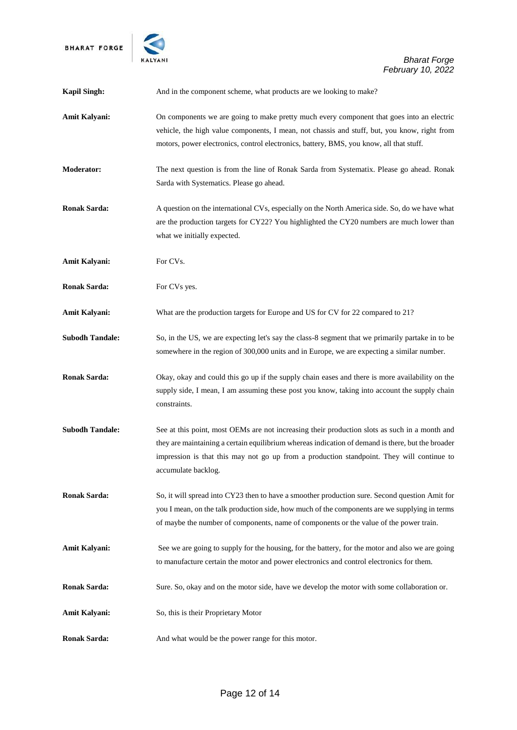

| <b>Kapil Singh:</b>    | And in the component scheme, what products are we looking to make?                                                                                                                                                                                                                                                     |
|------------------------|------------------------------------------------------------------------------------------------------------------------------------------------------------------------------------------------------------------------------------------------------------------------------------------------------------------------|
| <b>Amit Kalyani:</b>   | On components we are going to make pretty much every component that goes into an electric<br>vehicle, the high value components, I mean, not chassis and stuff, but, you know, right from<br>motors, power electronics, control electronics, battery, BMS, you know, all that stuff.                                   |
| <b>Moderator:</b>      | The next question is from the line of Ronak Sarda from Systematix. Please go ahead. Ronak<br>Sarda with Systematics. Please go ahead.                                                                                                                                                                                  |
| <b>Ronak Sarda:</b>    | A question on the international CVs, especially on the North America side. So, do we have what<br>are the production targets for CY22? You highlighted the CY20 numbers are much lower than<br>what we initially expected.                                                                                             |
| <b>Amit Kalyani:</b>   | For CVs.                                                                                                                                                                                                                                                                                                               |
| <b>Ronak Sarda:</b>    | For CVs yes.                                                                                                                                                                                                                                                                                                           |
| <b>Amit Kalyani:</b>   | What are the production targets for Europe and US for CV for 22 compared to 21?                                                                                                                                                                                                                                        |
| <b>Subodh Tandale:</b> | So, in the US, we are expecting let's say the class-8 segment that we primarily partake in to be<br>somewhere in the region of 300,000 units and in Europe, we are expecting a similar number.                                                                                                                         |
| <b>Ronak Sarda:</b>    | Okay, okay and could this go up if the supply chain eases and there is more availability on the<br>supply side, I mean, I am assuming these post you know, taking into account the supply chain<br>constraints.                                                                                                        |
| <b>Subodh Tandale:</b> | See at this point, most OEMs are not increasing their production slots as such in a month and<br>they are maintaining a certain equilibrium whereas indication of demand is there, but the broader<br>impression is that this may not go up from a production standpoint. They will continue to<br>accumulate backlog. |
| <b>Ronak Sarda:</b>    | So, it will spread into CY23 then to have a smoother production sure. Second question Amit for<br>you I mean, on the talk production side, how much of the components are we supplying in terms<br>of maybe the number of components, name of components or the value of the power train.                              |
| Amit Kalyani:          | See we are going to supply for the housing, for the battery, for the motor and also we are going<br>to manufacture certain the motor and power electronics and control electronics for them.                                                                                                                           |
| <b>Ronak Sarda:</b>    | Sure. So, okay and on the motor side, have we develop the motor with some collaboration or.                                                                                                                                                                                                                            |
| Amit Kalyani:          | So, this is their Proprietary Motor                                                                                                                                                                                                                                                                                    |
| <b>Ronak Sarda:</b>    | And what would be the power range for this motor.                                                                                                                                                                                                                                                                      |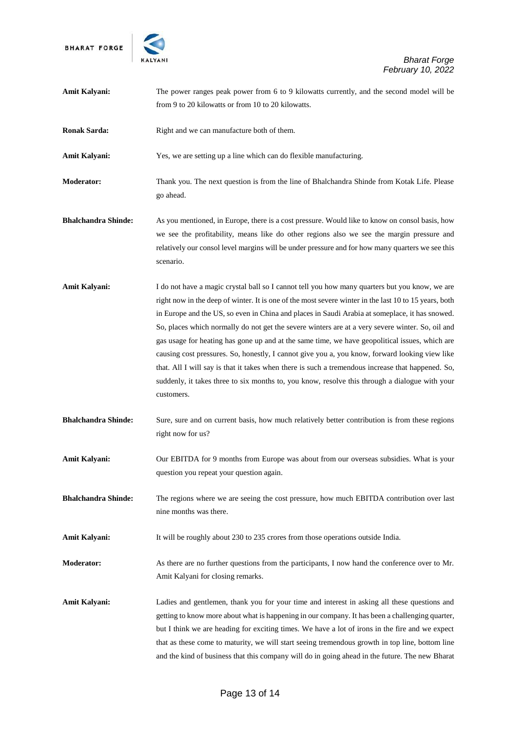

| Amit Kalyani:              | The power ranges peak power from 6 to 9 kilowatts currently, and the second model will be                                                                                                                                                                                                                                                                                                                                                                                                                                                                                                                                                                                                                                                                                                                                              |
|----------------------------|----------------------------------------------------------------------------------------------------------------------------------------------------------------------------------------------------------------------------------------------------------------------------------------------------------------------------------------------------------------------------------------------------------------------------------------------------------------------------------------------------------------------------------------------------------------------------------------------------------------------------------------------------------------------------------------------------------------------------------------------------------------------------------------------------------------------------------------|
|                            | from 9 to 20 kilowatts or from 10 to 20 kilowatts.                                                                                                                                                                                                                                                                                                                                                                                                                                                                                                                                                                                                                                                                                                                                                                                     |
| <b>Ronak Sarda:</b>        | Right and we can manufacture both of them.                                                                                                                                                                                                                                                                                                                                                                                                                                                                                                                                                                                                                                                                                                                                                                                             |
| Amit Kalyani:              | Yes, we are setting up a line which can do flexible manufacturing.                                                                                                                                                                                                                                                                                                                                                                                                                                                                                                                                                                                                                                                                                                                                                                     |
| <b>Moderator:</b>          | Thank you. The next question is from the line of Bhalchandra Shinde from Kotak Life. Please<br>go ahead.                                                                                                                                                                                                                                                                                                                                                                                                                                                                                                                                                                                                                                                                                                                               |
| <b>Bhalchandra Shinde:</b> | As you mentioned, in Europe, there is a cost pressure. Would like to know on consol basis, how<br>we see the profitability, means like do other regions also we see the margin pressure and<br>relatively our consol level margins will be under pressure and for how many quarters we see this<br>scenario.                                                                                                                                                                                                                                                                                                                                                                                                                                                                                                                           |
| Amit Kalyani:              | I do not have a magic crystal ball so I cannot tell you how many quarters but you know, we are<br>right now in the deep of winter. It is one of the most severe winter in the last 10 to 15 years, both<br>in Europe and the US, so even in China and places in Saudi Arabia at someplace, it has snowed.<br>So, places which normally do not get the severe winters are at a very severe winter. So, oil and<br>gas usage for heating has gone up and at the same time, we have geopolitical issues, which are<br>causing cost pressures. So, honestly, I cannot give you a, you know, forward looking view like<br>that. All I will say is that it takes when there is such a tremendous increase that happened. So,<br>suddenly, it takes three to six months to, you know, resolve this through a dialogue with your<br>customers. |
| <b>Bhalchandra Shinde:</b> | Sure, sure and on current basis, how much relatively better contribution is from these regions<br>right now for us?                                                                                                                                                                                                                                                                                                                                                                                                                                                                                                                                                                                                                                                                                                                    |
| Amit Kalyani:              | Our EBITDA for 9 months from Europe was about from our overseas subsidies. What is your<br>question you repeat your question again.                                                                                                                                                                                                                                                                                                                                                                                                                                                                                                                                                                                                                                                                                                    |
| <b>Bhalchandra Shinde:</b> | The regions where we are seeing the cost pressure, how much EBITDA contribution over last<br>nine months was there.                                                                                                                                                                                                                                                                                                                                                                                                                                                                                                                                                                                                                                                                                                                    |
| Amit Kalyani:              | It will be roughly about 230 to 235 crores from those operations outside India.                                                                                                                                                                                                                                                                                                                                                                                                                                                                                                                                                                                                                                                                                                                                                        |
| <b>Moderator:</b>          | As there are no further questions from the participants, I now hand the conference over to Mr.<br>Amit Kalyani for closing remarks.                                                                                                                                                                                                                                                                                                                                                                                                                                                                                                                                                                                                                                                                                                    |
| Amit Kalyani:              | Ladies and gentlemen, thank you for your time and interest in asking all these questions and<br>getting to know more about what is happening in our company. It has been a challenging quarter,<br>but I think we are heading for exciting times. We have a lot of irons in the fire and we expect<br>that as these come to maturity, we will start seeing tremendous growth in top line, bottom line<br>and the kind of business that this company will do in going ahead in the future. The new Bharat                                                                                                                                                                                                                                                                                                                               |